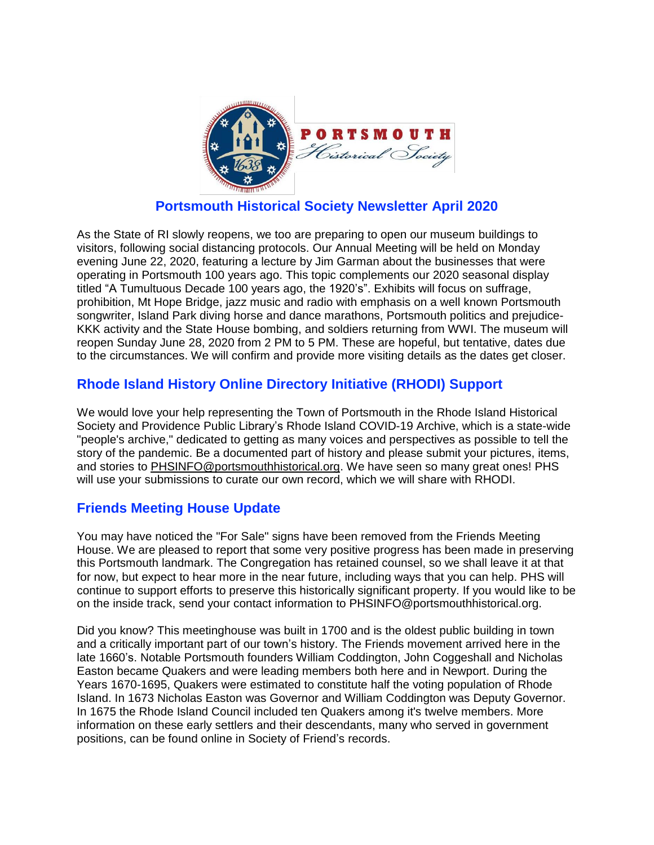

## **Portsmouth Historical Society Newsletter April 2020**

As the State of RI slowly reopens, we too are preparing to open our museum buildings to visitors, following social distancing protocols. Our Annual Meeting will be held on Monday evening June 22, 2020, featuring a lecture by Jim Garman about the businesses that were operating in Portsmouth 100 years ago. This topic complements our 2020 seasonal display titled "A Tumultuous Decade 100 years ago, the 1920's". Exhibits will focus on suffrage, prohibition, Mt Hope Bridge, jazz music and radio with emphasis on a well known Portsmouth songwriter, Island Park diving horse and dance marathons, Portsmouth politics and prejudice-KKK activity and the State House bombing, and soldiers returning from WWI. The museum will reopen Sunday June 28, 2020 from 2 PM to 5 PM. These are hopeful, but tentative, dates due to the circumstances. We will confirm and provide more visiting details as the dates get closer.

## **Rhode Island History Online Directory Initiative (RHODI) Support**

We would love your help representing the Town of Portsmouth in the Rhode Island Historical Society and Providence Public Library's Rhode Island COVID-19 Archive, which is a state-wide "people's archive," dedicated to getting as many voices and perspectives as possible to tell the story of the pandemic. Be a documented part of history and please submit your pictures, items, and stories to [PHSINFO@portsmouthhistorical.org.](mailto:PHSINFO@portsmouthhistorical.org) We have seen so many great ones! PHS will use your submissions to curate our own record, which we will share with RHODI.

#### **Friends Meeting House Update**

You may have noticed the "For Sale" signs have been removed from the Friends Meeting House. We are pleased to report that some very positive progress has been made in preserving this Portsmouth landmark. The Congregation has retained counsel, so we shall leave it at that for now, but expect to hear more in the near future, including ways that you can help. PHS will continue to support efforts to preserve this historically significant property. If you would like to be on the inside track, send your contact information to PHSINFO@portsmouthhistorical.org.

Did you know? This meetinghouse was built in 1700 and is the oldest public building in town and a critically important part of our town's history. The Friends movement arrived here in the late 1660's. Notable Portsmouth founders William Coddington, John Coggeshall and Nicholas Easton became Quakers and were leading members both here and in Newport. During the Years 1670-1695, Quakers were estimated to constitute half the voting population of Rhode Island. In 1673 Nicholas Easton was Governor and William Coddington was Deputy Governor. In 1675 the Rhode Island Council included ten Quakers among it's twelve members. More information on these early settlers and their descendants, many who served in government positions, can be found online in Society of Friend's records.